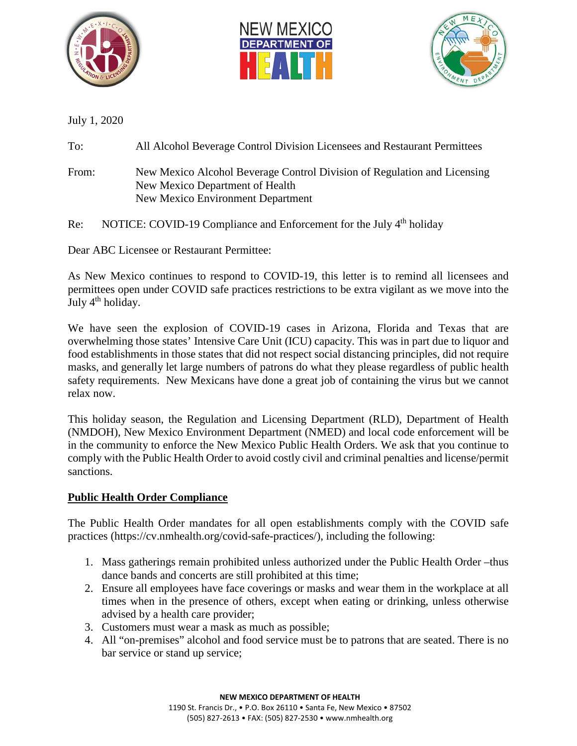





July 1, 2020

To: All Alcohol Beverage Control Division Licensees and Restaurant Permittees

- From: New Mexico Alcohol Beverage Control Division of Regulation and Licensing New Mexico Department of Health New Mexico Environment Department
- Re: NOTICE: COVID-19 Compliance and Enforcement for the July 4<sup>th</sup> holiday

Dear ABC Licensee or Restaurant Permittee:

As New Mexico continues to respond to COVID-19, this letter is to remind all licensees and permittees open under COVID safe practices restrictions to be extra vigilant as we move into the July  $4<sup>th</sup>$  holiday.

We have seen the explosion of COVID-19 cases in Arizona, Florida and Texas that are overwhelming those states' Intensive Care Unit (ICU) capacity. This was in part due to liquor and food establishments in those states that did not respect social distancing principles, did not require masks, and generally let large numbers of patrons do what they please regardless of public health safety requirements. New Mexicans have done a great job of containing the virus but we cannot relax now.

This holiday season, the Regulation and Licensing Department (RLD), Department of Health (NMDOH), New Mexico Environment Department (NMED) and local code enforcement will be in the community to enforce the New Mexico Public Health Orders. We ask that you continue to comply with the Public Health Order to avoid costly civil and criminal penalties and license/permit sanctions.

## **Public Health Order Compliance**

The Public Health Order mandates for all open establishments comply with the COVID safe practices (https://cv.nmhealth.org/covid-safe-practices/), including the following:

- 1. Mass gatherings remain prohibited unless authorized under the Public Health Order –thus dance bands and concerts are still prohibited at this time;
- 2. Ensure all employees have face coverings or masks and wear them in the workplace at all times when in the presence of others, except when eating or drinking, unless otherwise advised by a health care provider;
- 3. Customers must wear a mask as much as possible;
- 4. All "on-premises" alcohol and food service must be to patrons that are seated. There is no bar service or stand up service;